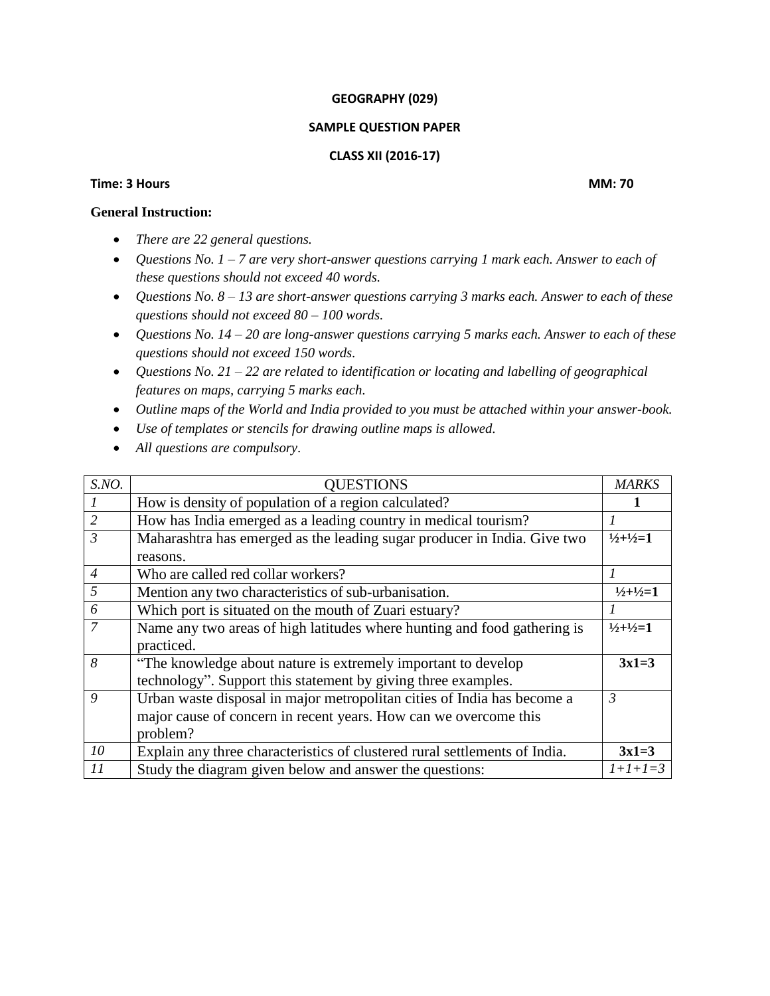### **GEOGRAPHY (029)**

## **SAMPLE QUESTION PAPER**

# **CLASS XII (2016-17)**

## **Time: 3 Hours MM: 70**

# **General Instruction:**

- *There are 22 general questions.*
- *Questions No. 1 – 7 are very short-answer questions carrying 1 mark each. Answer to each of these questions should not exceed 40 words.*
- *Questions No. 8 – 13 are short-answer questions carrying 3 marks each. Answer to each of these questions should not exceed 80 – 100 words.*
- *Questions No. 14 – 20 are long-answer questions carrying 5 marks each. Answer to each of these questions should not exceed 150 words.*
- *Questions No. 21 – 22 are related to identification or locating and labelling of geographical features on maps, carrying 5 marks each.*
- *Outline maps of the World and India provided to you must be attached within your answer-book.*
- *Use of templates or stencils for drawing outline maps is allowed.*
- *All questions are compulsory.*

| S.NO.            | <b>QUESTIONS</b>                                                           | <b>MARKS</b>                    |
|------------------|----------------------------------------------------------------------------|---------------------------------|
|                  | How is density of population of a region calculated?                       |                                 |
| $\overline{2}$   | How has India emerged as a leading country in medical tourism?             |                                 |
| $\overline{3}$   | Maharashtra has emerged as the leading sugar producer in India. Give two   | $\frac{1}{2} + \frac{1}{2} = 1$ |
|                  | reasons.                                                                   |                                 |
| $\overline{4}$   | Who are called red collar workers?                                         |                                 |
| 5                | Mention any two characteristics of sub-urbanisation.                       | $1/2+1/2=1$                     |
| 6                | Which port is situated on the mouth of Zuari estuary?                      |                                 |
| $\overline{7}$   | Name any two areas of high latitudes where hunting and food gathering is   | $\frac{1}{2} + \frac{1}{2} = 1$ |
|                  | practiced.                                                                 |                                 |
| 8                | "The knowledge about nature is extremely important to develop              | $3x1=3$                         |
|                  | technology". Support this statement by giving three examples.              |                                 |
| $\boldsymbol{Q}$ | Urban waste disposal in major metropolitan cities of India has become a    | $\overline{3}$                  |
|                  | major cause of concern in recent years. How can we overcome this           |                                 |
|                  | problem?                                                                   |                                 |
| 10               | Explain any three characteristics of clustered rural settlements of India. | $3x1=3$                         |
| 11               | Study the diagram given below and answer the questions:                    | $1+1+1=3$                       |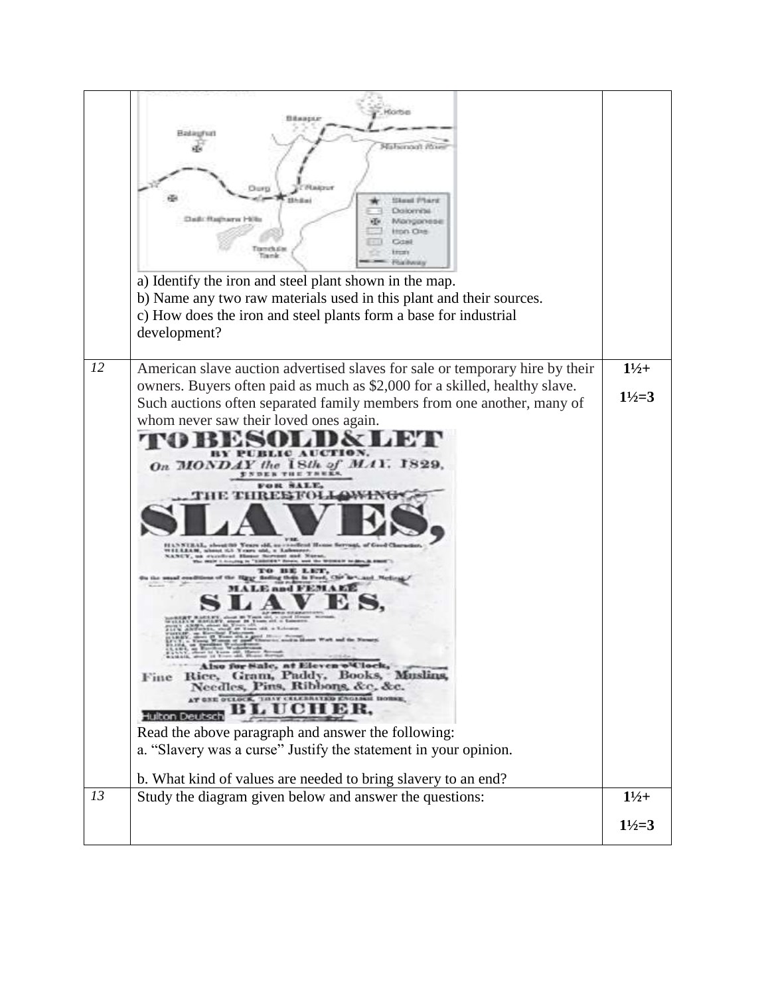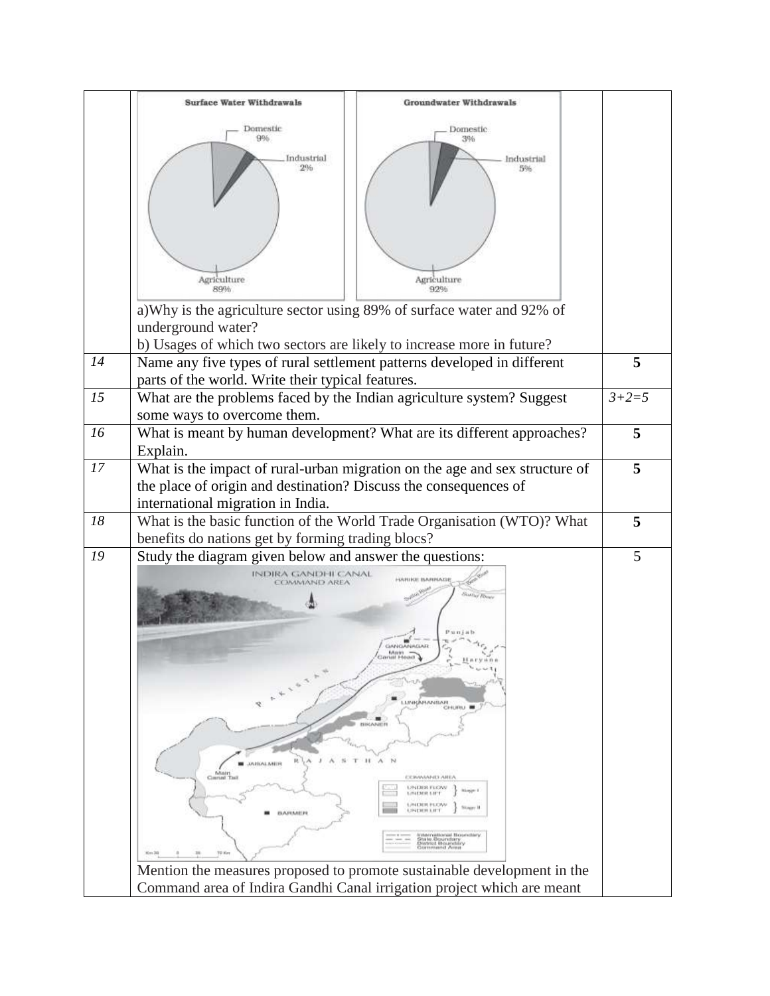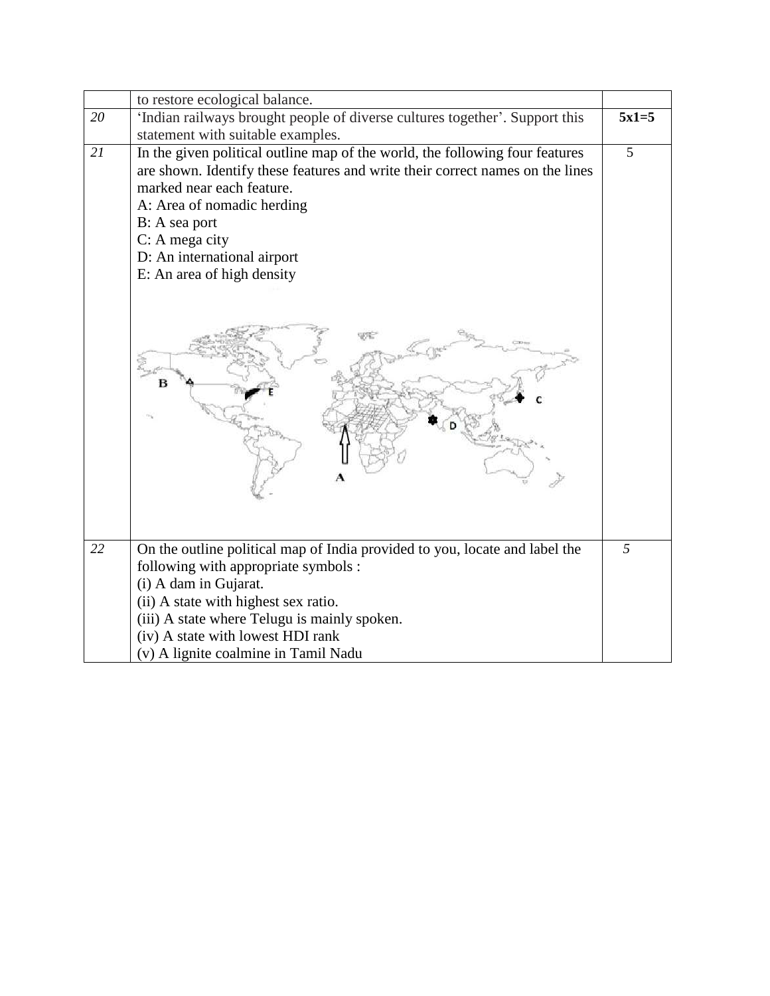|    | to restore ecological balance.                                                       |         |
|----|--------------------------------------------------------------------------------------|---------|
| 20 | 'Indian railways brought people of diverse cultures together'. Support this          | $5x1=5$ |
|    | statement with suitable examples.                                                    |         |
| 21 | In the given political outline map of the world, the following four features         | 5       |
|    | are shown. Identify these features and write their correct names on the lines        |         |
|    | marked near each feature.                                                            |         |
|    | A: Area of nomadic herding                                                           |         |
|    | B: A sea port                                                                        |         |
|    | $C: A$ mega city                                                                     |         |
|    | D: An international airport                                                          |         |
|    | E: An area of high density                                                           |         |
| 22 | On the outline political map of India provided to you, locate and label the          | 5       |
|    | following with appropriate symbols :                                                 |         |
|    | (i) A dam in Gujarat.                                                                |         |
|    |                                                                                      |         |
|    | (ii) A state with highest sex ratio.<br>(iii) A state where Telugu is mainly spoken. |         |
|    | (iv) A state with lowest HDI rank                                                    |         |
|    | (v) A lignite coalmine in Tamil Nadu                                                 |         |
|    |                                                                                      |         |